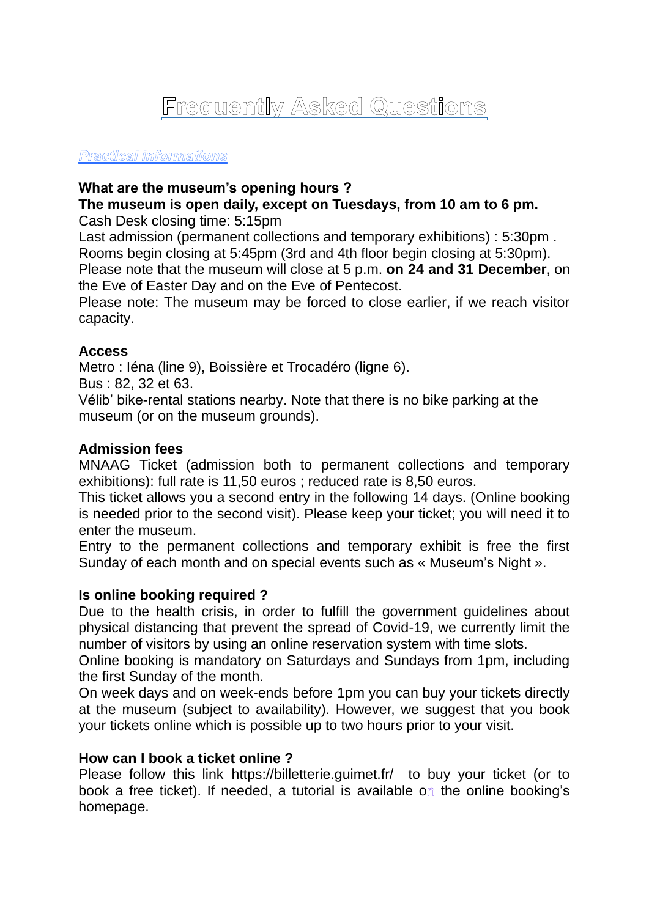# Frequently Asked Questions

#### Practical informations

## **What are the museum's opening hours ?**

#### **The museum is open daily, except on Tuesdays, from 10 am to 6 pm.** Cash Desk closing time: 5:15pm

Last admission (permanent collections and temporary exhibitions) : 5:30pm . Rooms begin closing at 5:45pm (3rd and 4th floor begin closing at 5:30pm). Please note that the museum will close at 5 p.m. **on 24 and 31 December**, on the Eve of Easter Day and on the Eve of Pentecost.

Please note: The museum may be forced to close earlier, if we reach visitor capacity.

## **Access**

Metro : Iéna (line 9), Boissière et Trocadéro (ligne 6).

Bus : 82, 32 et 63.

Vélib' bike-rental stations nearby. Note that there is no bike parking at the museum (or on the museum grounds).

## **Admission fees**

MNAAG Ticket (admission both to permanent collections and temporary exhibitions): full rate is 11,50 euros ; reduced rate is 8,50 euros.

This ticket allows you a second entry in the following 14 days. (Online booking is needed prior to the second visit). Please keep your ticket; you will need it to enter the museum.

Entry to the permanent collections and temporary exhibit is free the first Sunday of each month and on special events such as « Museum's Night ».

## **Is online booking required ?**

Due to the health crisis, in order to fulfill the government guidelines about physical distancing that prevent the spread of Covid-19, we currently limit the number of visitors by using an online reservation system with time slots.

Online booking is mandatory on Saturdays and Sundays from 1pm, including the first Sunday of the month.

On week days and on week-ends before 1pm you can buy your tickets directly at the museum (subject to availability). However, we suggest that you book your tickets online which is possible up to two hours prior to your visit.

## **How can I book a ticket online ?**

Please follow this link https://billetterie.guimet.fr/ to buy your ticket (or to book a free ticket). If needed, a tutorial is available on the online booking's homepage.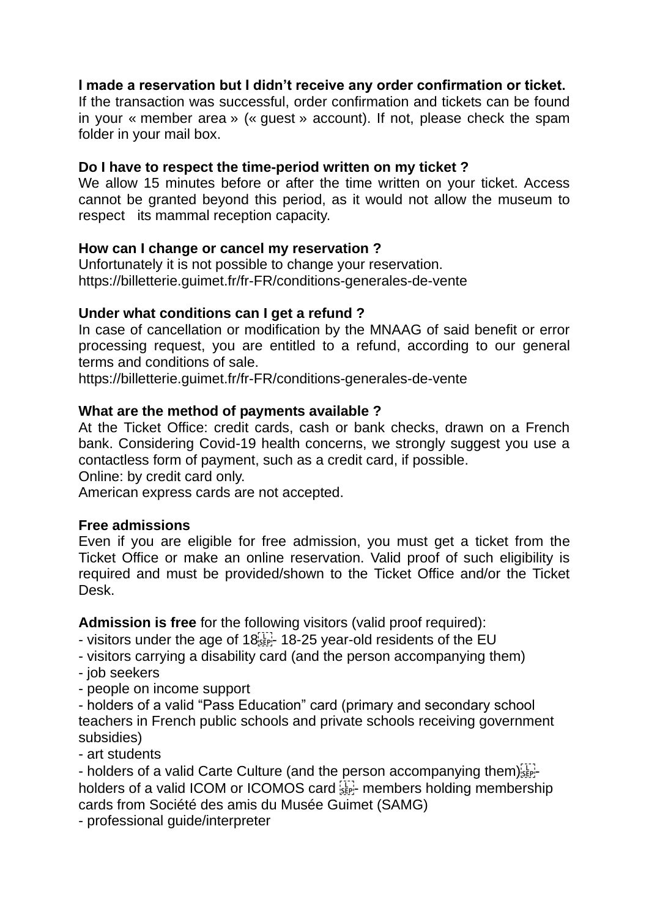## **I made a reservation but I didn't receive any order confirmation or ticket.**

If the transaction was successful, order confirmation and tickets can be found in your « member area » (« guest » account). If not, please check the spam folder in your mail box.

## **Do I have to respect the time-period written on my ticket ?**

We allow 15 minutes before or after the time written on your ticket. Access cannot be granted beyond this period, as it would not allow the museum to respect its mammal reception capacity.

## **How can I change or cancel my reservation ?**

Unfortunately it is not possible to change your reservation. https://billetterie.guimet.fr/fr-FR/conditions-generales-de-vente

## **Under what conditions can I get a refund ?**

In case of cancellation or modification by the MNAAG of said benefit or error processing request, you are entitled to a refund, according to our general terms and conditions of sale.

https://billetterie.guimet.fr/fr-FR/conditions-generales-de-vente

## **What are the method of payments available ?**

At the Ticket Office: credit cards, cash or bank checks, drawn on a French bank. Considering Covid-19 health concerns, we strongly suggest you use a contactless form of payment, such as a credit card, if possible.

Online: by credit card only.

American express cards are not accepted.

## **Free admissions**

Even if you are eligible for free admission, you must get a ticket from the Ticket Office or make an online reservation. Valid proof of such eligibility is required and must be provided/shown to the Ticket Office and/or the Ticket Desk.

**Admission is free** for the following visitors (valid proof required):

- visitors under the age of 18<sup>[1]</sup>. 18-25 year-old residents of the EU
- visitors carrying a disability card (and the person accompanying them)
- job seekers
- people on income support
- holders of a valid "Pass Education" card (primary and secondary school teachers in French public schools and private schools receiving government subsidies)
- art students

- holders of a valid Carte Culture (and the person accompanying them) holders of a valid ICOM or ICOMOS card  $_{\rm sFe}^{[1]}$  members holding membership cards from Société des amis du Musée Guimet (SAMG)

- professional guide/interpreter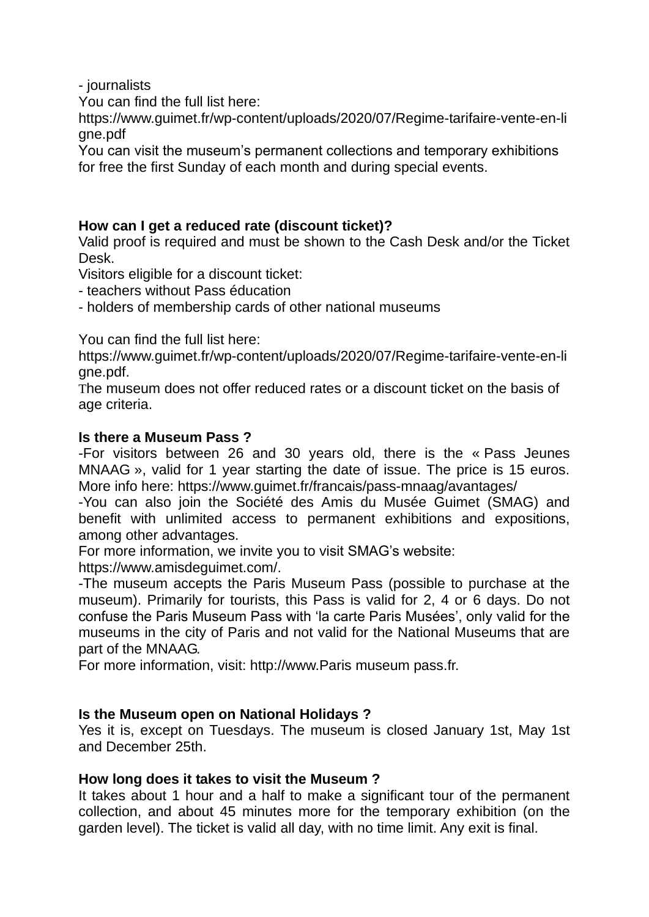- journalists

You can find the full list here:

https://www.guimet.fr/wp-content/uploads/2020/07/Regime-tarifaire-vente-en-li gne.pdf

You can visit the museum's permanent collections and temporary exhibitions for free the first Sunday of each month and during special events.

# **How can I get a reduced rate (discount ticket)?**

Valid proof is required and must be shown to the Cash Desk and/or the Ticket Desk.

Visitors eligible for a discount ticket:

- teachers without Pass éducation
- holders of membership cards of other national museums

You can find the full list here:

https://www.guimet.fr/wp-content/uploads/2020/07/Regime-tarifaire-vente-en-li gne.pdf.

The museum does not offer reduced rates or a discount ticket on the basis of age criteria.

## **Is there a Museum Pass ?**

-For visitors between 26 and 30 years old, there is the « Pass Jeunes MNAAG », valid for 1 year starting the date of issue. The price is 15 euros. More info here: https://www.guimet.fr/francais/pass-mnaag/avantages/

-You can also join the Société des Amis du Musée Guimet (SMAG) and benefit with unlimited access to permanent exhibitions and expositions, among other advantages.

For more information, we invite you to visit SMAG's website:

https://www.amisdeguimet.com/.

-The museum accepts the Paris Museum Pass (possible to purchase at the museum). Primarily for tourists, this Pass is valid for 2, 4 or 6 days. Do not confuse the Paris Museum Pass with 'la carte Paris Musées', only valid for the museums in the city of Paris and not valid for the National Museums that are part of the MNAAG.

For more information, visit: http://www.Paris museum pass.fr.

# **Is the Museum open on National Holidays ?**

Yes it is, except on Tuesdays. The museum is closed January 1st, May 1st and December 25th.

## **How long does it takes to visit the Museum ?**

It takes about 1 hour and a half to make a significant tour of the permanent collection, and about 45 minutes more for the temporary exhibition (on the garden level). The ticket is valid all day, with no time limit. Any exit is final.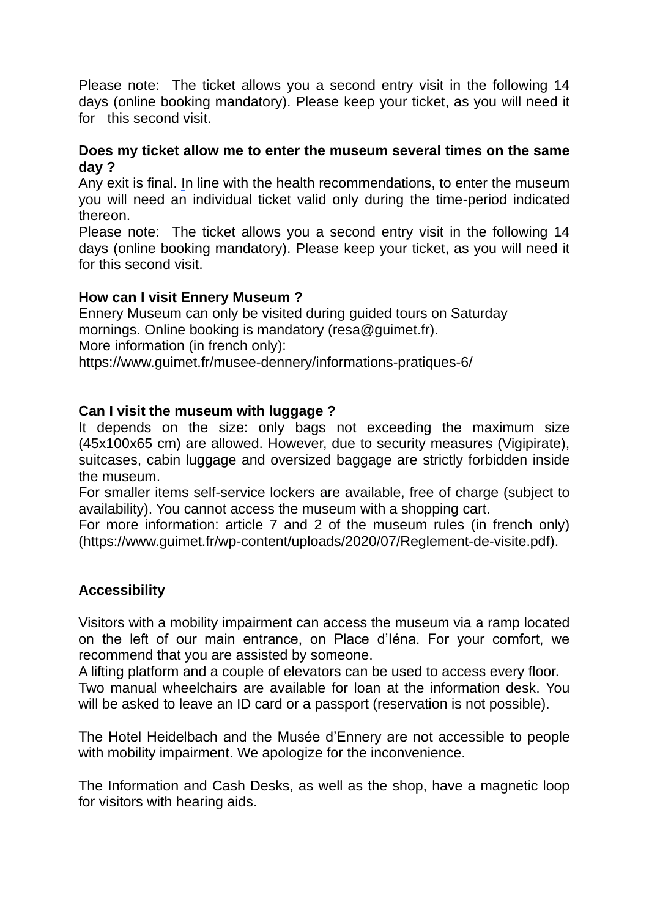Please note: The ticket allows you a second entry visit in the following 14 days (online booking mandatory). Please keep your ticket, as you will need it for this second visit.

## **Does my ticket allow me to enter the museum several times on the same day ?**

Any exit is final. In line with the health recommendations, to enter the museum you will need an individual ticket valid only during the time-period indicated thereon.

Please note: The ticket allows you a second entry visit in the following 14 days (online booking mandatory). Please keep your ticket, as you will need it for this second visit.

## **How can I visit Ennery Museum ?**

Ennery Museum can only be visited during guided tours on Saturday mornings. Online booking is mandatory (resa@guimet.fr). More information (in french only):

https://www.guimet.fr/musee-dennery/informations-pratiques-6/

## **Can I visit the museum with luggage ?**

It depends on the size: only bags not exceeding the maximum size (45x100x65 cm) are allowed. However, due to security measures (Vigipirate), suitcases, cabin luggage and oversized baggage are strictly forbidden inside the museum.

For smaller items self-service lockers are available, free of charge (subject to availability). You cannot access the museum with a shopping cart.

For more information: article 7 and 2 of the museum rules (in french only) (https://www.guimet.fr/wp-content/uploads/2020/07/Reglement-de-visite.pdf).

# **Accessibility**

Visitors with a mobility impairment can access the museum via a ramp located on the left of our main entrance, on Place d'Iéna. For your comfort, we recommend that you are assisted by someone.

A lifting platform and a couple of elevators can be used to access every floor. Two manual wheelchairs are available for loan at the information desk. You will be asked to leave an ID card or a passport (reservation is not possible).

The Hotel Heidelbach and the Musée d'Ennery are not accessible to people with mobility impairment. We apologize for the inconvenience.

The Information and Cash Desks, as well as the shop, have a magnetic loop for visitors with hearing aids.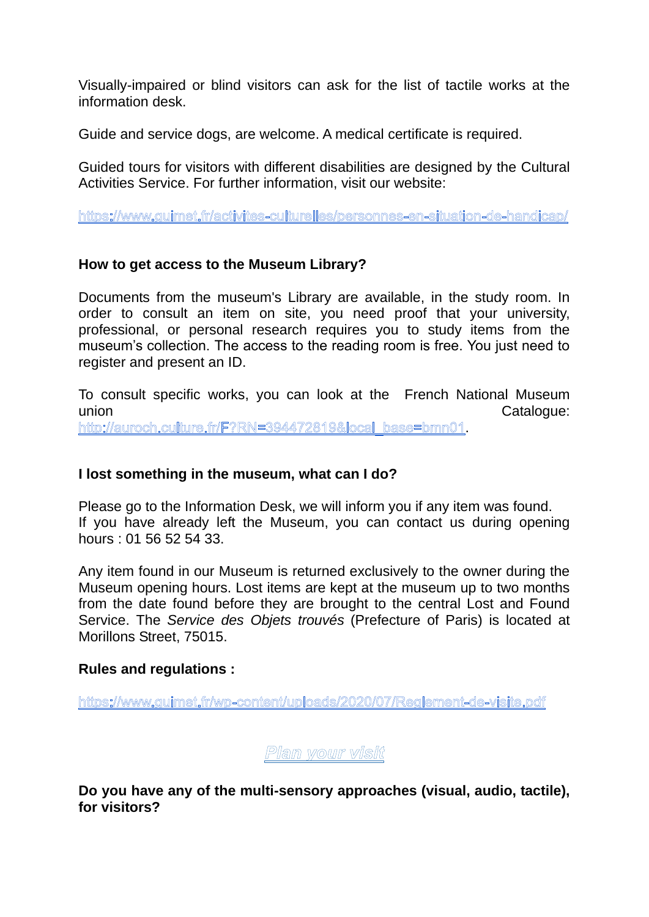Visually-impaired or blind visitors can ask for the list of tactile works at the information desk.

Guide and service dogs, are welcome. A medical certificate is required.

Guided tours for visitors with different disabilities are designed by the Cultural Activities Service. For further information, visit our website:

https://www.guimet.fr/activites-culturelles/personnes-en-situation-de-handicap/

## **How to get access to the Museum Library?**

Documents from the museum's Library are available, in the study room. In order to consult an item on site, you need proof that your university, professional, or personal research requires you to study items from the museum's collection. The access to the reading room is free. You just need to register and present an ID.

To consult specific works, you can look at the French National Museum union contract to the contract of the contract of the contract of the contract of the Catalogue: http://auroch.culture.fr/F?RN=394472819&local base=bmn01.

## **I lost something in the museum, what can I do?**

Please go to the Information Desk, we will inform you if any item was found. If you have already left the Museum, you can contact us during opening hours : 01 56 52 54 33.

Any item found in our Museum is returned exclusively to the owner during the Museum opening hours. Lost items are kept at the museum up to two months from the date found before they are brought to the central Lost and Found Service. The *Service des Objets trouvés* (Prefecture of Paris) is located at Morillons Street, 75015.

## **Rules and regulations :**

https://www.guimet.fr/wp-content/uploads/2020/07/Reglement-de-visite.pdf

Plan your visit

**Do you have any of the multi-sensory approaches (visual, audio, tactile), for visitors?**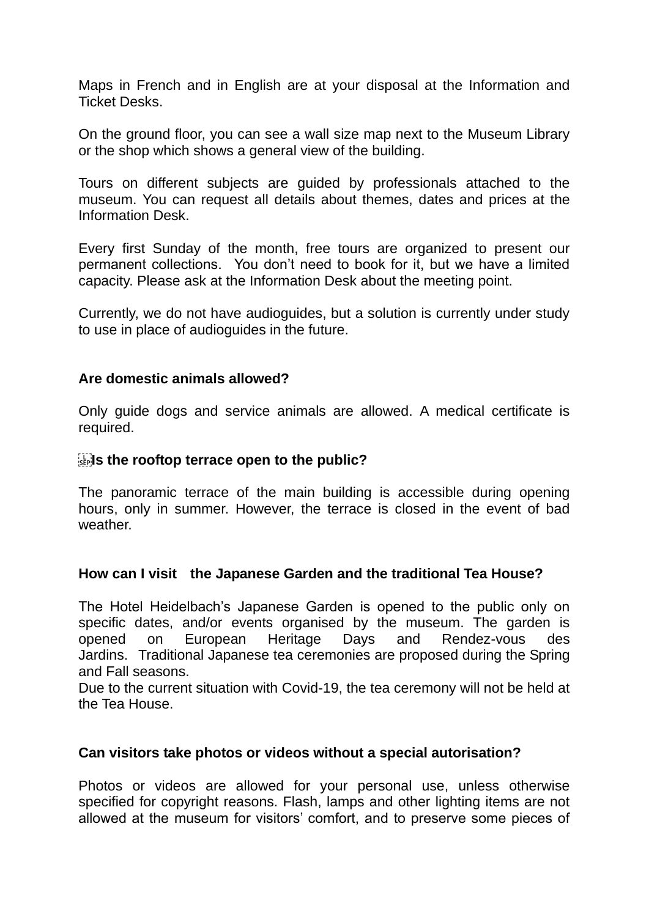Maps in French and in English are at your disposal at the Information and Ticket Desks.

On the ground floor, you can see a wall size map next to the Museum Library or the shop which shows a general view of the building.

Tours on different subjects are guided by professionals attached to the museum. You can request all details about themes, dates and prices at the Information Desk.

Every first Sunday of the month, free tours are organized to present our permanent collections. You don't need to book for it, but we have a limited capacity. Please ask at the Information Desk about the meeting point.

Currently, we do not have audioguides, but a solution is currently under study to use in place of audioguides in the future.

## **Are domestic animals allowed?**

Only guide dogs and service animals are allowed. A medical certificate is required.

## **Is the rooftop terrace open to the public?**

The panoramic terrace of the main building is accessible during opening hours, only in summer. However, the terrace is closed in the event of bad weather.

## **How can I visit the Japanese Garden and the traditional Tea House?**

The Hotel Heidelbach's Japanese Garden is opened to the public only on specific dates, and/or events organised by the museum. The garden is opened on European Heritage Days and Rendez-vous des Jardins. Traditional Japanese tea ceremonies are proposed during the Spring and Fall seasons.

Due to the current situation with Covid-19, the tea ceremony will not be held at the Tea House.

## **Can visitors take photos or videos without a special autorisation?**

Photos or videos are allowed for your personal use, unless otherwise specified for copyright reasons. Flash, lamps and other lighting items are not allowed at the museum for visitors' comfort, and to preserve some pieces of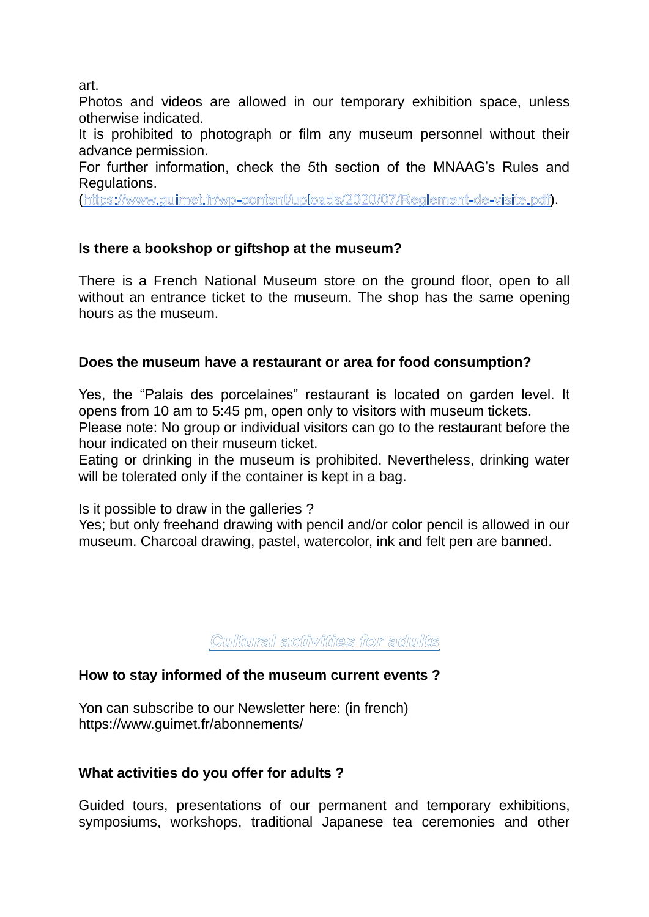art.

Photos and videos are allowed in our temporary exhibition space, unless otherwise indicated.

It is prohibited to photograph or film any museum personnel without their advance permission.

For further information, check the 5th section of the MNAAG's Rules and Regulations.

(https://www.guimet.fr/wp-content/uploads/2020/07/Reglement-de-visite.pdf).

# **Is there a bookshop or giftshop at the museum?**

There is a French National Museum store on the ground floor, open to all without an entrance ticket to the museum. The shop has the same opening hours as the museum.

# **Does the museum have a restaurant or area for food consumption?**

Yes, the "Palais des porcelaines" restaurant is located on garden level. It opens from 10 am to 5:45 pm, open only to visitors with museum tickets. Please note: No group or individual visitors can go to the restaurant before the hour indicated on their museum ticket.

Eating or drinking in the museum is prohibited. Nevertheless, drinking water will be tolerated only if the container is kept in a bag.

Is it possible to draw in the galleries ?

Yes; but only freehand drawing with pencil and/or color pencil is allowed in our museum. Charcoal drawing, pastel, watercolor, ink and felt pen are banned.

Cultural activities for adults

# **How to stay informed of the museum current events ?**

Yon can subscribe to our Newsletter here: (in french) https://www.guimet.fr/abonnements/

# **What activities do you offer for adults ?**

Guided tours, presentations of our permanent and temporary exhibitions, symposiums, workshops, traditional Japanese tea ceremonies and other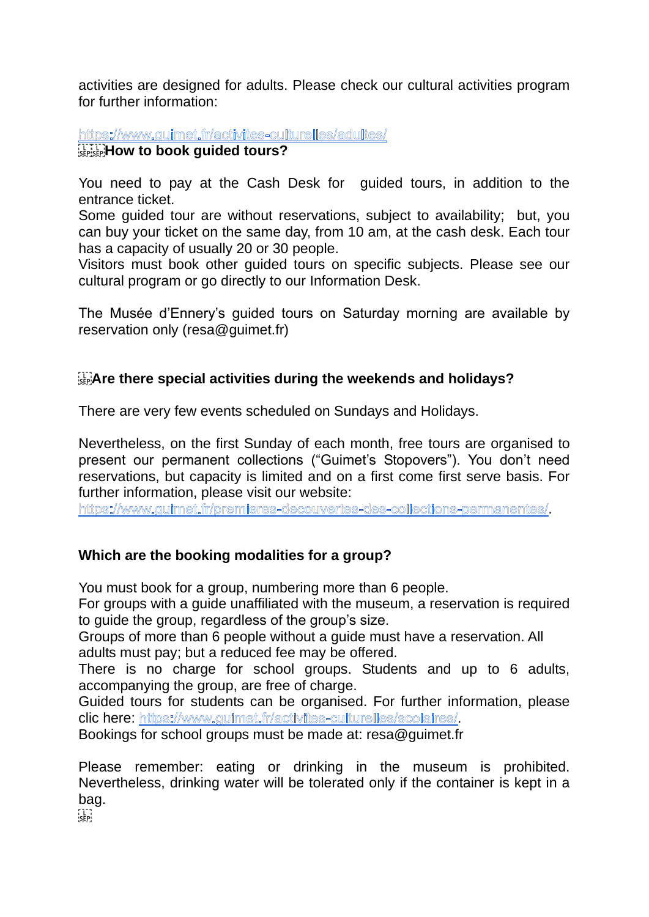activities are designed for adults. Please check our cultural activities program for further information:

https://www.guimet.fr/activites-culturelles/adultes/ **How to book guided tours?** 

You need to pay at the Cash Desk for guided tours, in addition to the entrance ticket.

Some guided tour are without reservations, subject to availability; but, you can buy your ticket on the same day, from 10 am, at the cash desk. Each tour has a capacity of usually 20 or 30 people.

Visitors must book other guided tours on specific subjects. Please see our cultural program or go directly to our Information Desk.

The Musée d'Ennery's guided tours on Saturday morning are available by reservation only (resa@guimet.fr)

# **Are there special activities during the weekends and holidays?**

There are very few events scheduled on Sundays and Holidays.

Nevertheless, on the first Sunday of each month, free tours are organised to present our permanent collections ("Guimet's Stopovers"). You don't need reservations, but capacity is limited and on a first come first serve basis. For further information, please visit our website:

https://www.quimet.fr/premieres-decouvertes-des-collections-permanentes/.

# **Which are the booking modalities for a group?**

You must book for a group, numbering more than 6 people.

For groups with a guide unaffiliated with the museum, a reservation is required to guide the group, regardless of the group's size.

Groups of more than 6 people without a guide must have a reservation. All adults must pay; but a reduced fee may be offered.

There is no charge for school groups. Students and up to 6 adults, accompanying the group, are free of charge.

Guided tours for students can be organised. For further information, please clic here: https://www.quimet.fr/activites-culturelles/scolaires/.

Bookings for school groups must be made at: resa@guimet.fr

Please remember: eating or drinking in the museum is prohibited. Nevertheless, drinking water will be tolerated only if the container is kept in a bag.

 $\frac{1}{2}$ SEP: